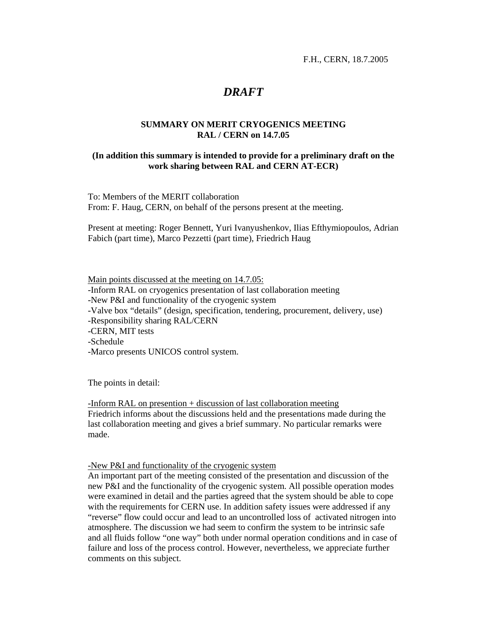F.H., CERN, 18.7.2005

# *DRAFT*

# **SUMMARY ON MERIT CRYOGENICS MEETING RAL / CERN on 14.7.05**

### **(In addition this summary is intended to provide for a preliminary draft on the work sharing between RAL and CERN AT-ECR)**

To: Members of the MERIT collaboration From: F. Haug, CERN, on behalf of the persons present at the meeting.

Present at meeting: Roger Bennett, Yuri Ivanyushenkov, Ilias Efthymiopoulos, Adrian Fabich (part time), Marco Pezzetti (part time), Friedrich Haug

Main points discussed at the meeting on 14.7.05: -Inform RAL on cryogenics presentation of last collaboration meeting -New P&I and functionality of the cryogenic system -Valve box "details" (design, specification, tendering, procurement, delivery, use) -Responsibility sharing RAL/CERN -CERN, MIT tests -Schedule -Marco presents UNICOS control system.

The points in detail:

-Inform RAL on presention + discussion of last collaboration meeting Friedrich informs about the discussions held and the presentations made during the last collaboration meeting and gives a brief summary. No particular remarks were made.

# -New P&I and functionality of the cryogenic system

An important part of the meeting consisted of the presentation and discussion of the new P&I and the functionality of the cryogenic system. All possible operation modes were examined in detail and the parties agreed that the system should be able to cope with the requirements for CERN use. In addition safety issues were addressed if any "reverse" flow could occur and lead to an uncontrolled loss of activated nitrogen into atmosphere. The discussion we had seem to confirm the system to be intrinsic safe and all fluids follow "one way" both under normal operation conditions and in case of failure and loss of the process control. However, nevertheless, we appreciate further comments on this subject.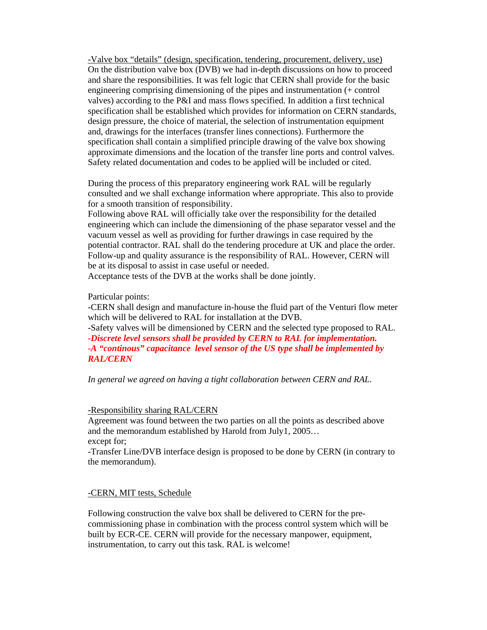-Valve box "details" (design, specification, tendering, procurement, delivery, use) On the distribution valve box (DVB) we had in-depth discussions on how to proceed and share the responsibilities. It was felt logic that CERN shall provide for the basic engineering comprising dimensioning of the pipes and instrumentation (+ control valves) according to the P&I and mass flows specified. In addition a first technical specification shall be established which provides for information on CERN standards, design pressure, the choice of material, the selection of instrumentation equipment and, drawings for the interfaces (transfer lines connections). Furthermore the specification shall contain a simplified principle drawing of the valve box showing approximate dimensions and the location of the transfer line ports and control valves. Safety related documentation and codes to be applied will be included or cited.

During the process of this preparatory engineering work RAL will be regularly consulted and we shall exchange information where appropriate. This also to provide for a smooth transition of responsibility.

Following above RAL will officially take over the responsibility for the detailed engineering which can include the dimensioning of the phase separator vessel and the vacuum vessel as well as providing for further drawings in case required by the potential contractor. RAL shall do the tendering procedure at UK and place the order. Follow-up and quality assurance is the responsibility of RAL. However, CERN will be at its disposal to assist in case useful or needed.

Acceptance tests of the DVB at the works shall be done jointly.

Particular points:

-CERN shall design and manufacture in-house the fluid part of the Venturi flow meter which will be delivered to RAL for installation at the DVB.

-Safety valves will be dimensioned by CERN and the selected type proposed to RAL. *-Discrete level sensors shall be provided by CERN to RAL for implementation. -A "continous" capacitance level sensor of the US type shall be implemented by RAL/CERN* 

*In general we agreed on having a tight collaboration between CERN and RAL.* 

#### -Responsibility sharing RAL/CERN

Agreement was found between the two parties on all the points as described above and the memorandum established by Harold from July1, 2005… except for;

-Transfer Line/DVB interface design is proposed to be done by CERN (in contrary to the memorandum).

# -CERN, MIT tests, Schedule

Following construction the valve box shall be delivered to CERN for the precommissioning phase in combination with the process control system which will be built by ECR-CE. CERN will provide for the necessary manpower, equipment, instrumentation, to carry out this task. RAL is welcome!